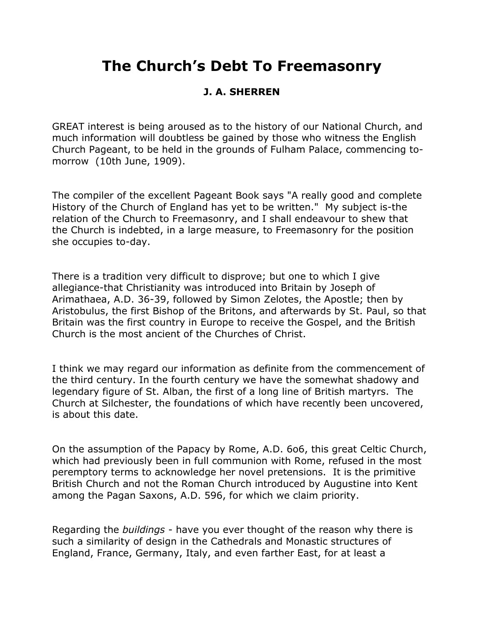## **The Church's Debt To Freemasonry**

## **J. A. SHERREN**

GREAT interest is being aroused as to the history of our National Church, and much information will doubtless be gained by those who witness the English Church Pageant, to be held in the grounds of Fulham Palace, commencing tomorrow (10th June, 1909).

The compiler of the excellent Pageant Book says "A really good and complete History of the Church of England has yet to be written." My subject is-the relation of the Church to Freemasonry, and I shall endeavour to shew that the Church is indebted, in a large measure, to Freemasonry for the position she occupies to-day.

There is a tradition very difficult to disprove; but one to which I give allegiance-that Christianity was introduced into Britain by Joseph of Arimathaea, A.D. 36-39, followed by Simon Zelotes, the Apostle; then by Aristobulus, the first Bishop of the Britons, and afterwards by St. Paul, so that Britain was the first country in Europe to receive the Gospel, and the British Church is the most ancient of the Churches of Christ.

I think we may regard our information as definite from the commencement of the third century. In the fourth century we have the somewhat shadowy and legendary figure of St. Alban, the first of a long line of British martyrs. The Church at Silchester, the foundations of which have recently been uncovered, is about this date.

On the assumption of the Papacy by Rome, A.D. 6o6, this great Celtic Church, which had previously been in full communion with Rome, refused in the most peremptory terms to acknowledge her novel pretensions. It is the primitive British Church and not the Roman Church introduced by Augustine into Kent among the Pagan Saxons, A.D. 596, for which we claim priority.

Regarding the *buildings* - have you ever thought of the reason why there is such a similarity of design in the Cathedrals and Monastic structures of England, France, Germany, Italy, and even farther East, for at least a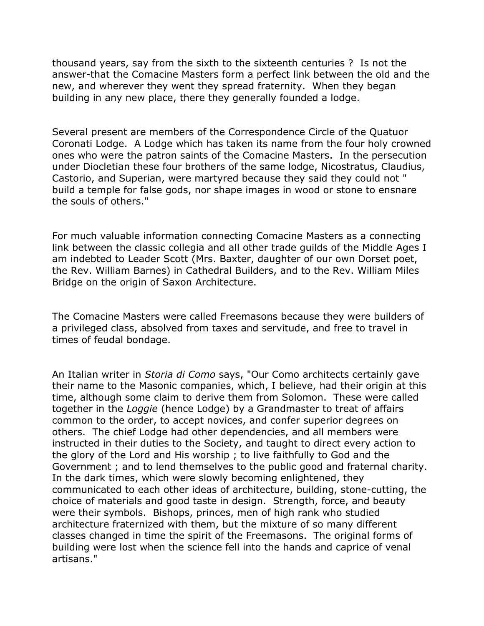thousand years, say from the sixth to the sixteenth centuries ? Is not the answer-that the Comacine Masters form a perfect link between the old and the new, and wherever they went they spread fraternity. When they began building in any new place, there they generally founded a lodge.

Several present are members of the Correspondence Circle of the Quatuor Coronati Lodge. A Lodge which has taken its name from the four holy crowned ones who were the patron saints of the Comacine Masters. In the persecution under Diocletian these four brothers of the same lodge, Nicostratus, Claudius, Castorio, and Superian, were martyred because they said they could not " build a temple for false gods, nor shape images in wood or stone to ensnare the souls of others."

For much valuable information connecting Comacine Masters as a connecting link between the classic collegia and all other trade guilds of the Middle Ages I am indebted to Leader Scott (Mrs. Baxter, daughter of our own Dorset poet, the Rev. William Barnes) in Cathedral Builders, and to the Rev. William Miles Bridge on the origin of Saxon Architecture.

The Comacine Masters were called Freemasons because they were builders of a privileged class, absolved from taxes and servitude, and free to travel in times of feudal bondage.

An Italian writer in *Storia di Como* says, "Our Como architects certainly gave their name to the Masonic companies, which, I believe, had their origin at this time, although some claim to derive them from Solomon. These were called together in the *Loggie* (hence Lodge) by a Grandmaster to treat of affairs common to the order, to accept novices, and confer superior degrees on others. The chief Lodge had other dependencies, and all members were instructed in their duties to the Society, and taught to direct every action to the glory of the Lord and His worship ; to live faithfully to God and the Government ; and to lend themselves to the public good and fraternal charity. In the dark times, which were slowly becoming enlightened, they communicated to each other ideas of architecture, building, stone-cutting, the choice of materials and good taste in design. Strength, force, and beauty were their symbols. Bishops, princes, men of high rank who studied architecture fraternized with them, but the mixture of so many different classes changed in time the spirit of the Freemasons. The original forms of building were lost when the science fell into the hands and caprice of venal artisans."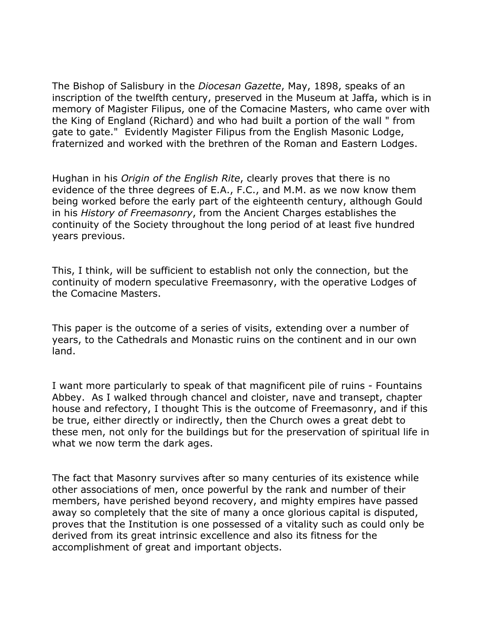The Bishop of Salisbury in the *Diocesan Gazette*, May, 1898, speaks of an inscription of the twelfth century, preserved in the Museum at Jaffa, which is in memory of Magister Filipus, one of the Comacine Masters, who came over with the King of England (Richard) and who had built a portion of the wall " from gate to gate." Evidently Magister Filipus from the English Masonic Lodge, fraternized and worked with the brethren of the Roman and Eastern Lodges.

Hughan in his *Origin of the English Rite*, clearly proves that there is no evidence of the three degrees of E.A., F.C., and M.M. as we now know them being worked before the early part of the eighteenth century, although Gould in his *History of Freemasonry*, from the Ancient Charges establishes the continuity of the Society throughout the long period of at least five hundred years previous.

This, I think, will be sufficient to establish not only the connection, but the continuity of modern speculative Freemasonry, with the operative Lodges of the Comacine Masters.

This paper is the outcome of a series of visits, extending over a number of years, to the Cathedrals and Monastic ruins on the continent and in our own land.

I want more particularly to speak of that magnificent pile of ruins - Fountains Abbey. As I walked through chancel and cloister, nave and transept, chapter house and refectory, I thought This is the outcome of Freemasonry, and if this be true, either directly or indirectly, then the Church owes a great debt to these men, not only for the buildings but for the preservation of spiritual life in what we now term the dark ages.

The fact that Masonry survives after so many centuries of its existence while other associations of men, once powerful by the rank and number of their members, have perished beyond recovery, and mighty empires have passed away so completely that the site of many a once glorious capital is disputed, proves that the Institution is one possessed of a vitality such as could only be derived from its great intrinsic excellence and also its fitness for the accomplishment of great and important objects.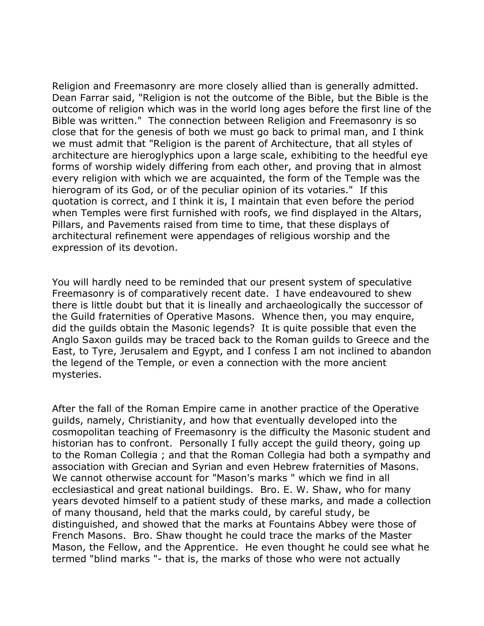Religion and Freemasonry are more closely allied than is generally admitted. Dean Farrar said, "Religion is not the outcome of the Bible, but the Bible is the outcome of religion which was in the world long ages before the first line of the Bible was written." The connection between Religion and Freemasonry is so close that for the genesis of both we must go back to primal man, and I think we must admit that "Religion is the parent of Architecture, that all styles of architecture are hieroglyphics upon a large scale, exhibiting to the heedful eye forms of worship widely differing from each other, and proving that in almost every religion with which we are acquainted, the form of the Temple was the hierogram of its God, or of the peculiar opinion of its votaries." If this quotation is correct, and I think it is, I maintain that even before the period when Temples were first furnished with roofs, we find displayed in the Altars, Pillars, and Pavements raised from time to time, that these displays of architectural refinement were appendages of religious worship and the expression of its devotion.

You will hardly need to be reminded that our present system of speculative Freemasonry is of comparatively recent date. I have endeavoured to shew there is little doubt but that it is lineally and archaeologically the successor of the Guild fraternities of Operative Masons. Whence then, you may enquire, did the guilds obtain the Masonic legends? It is quite possible that even the Anglo Saxon guilds may be traced back to the Roman guilds to Greece and the East, to Tyre, Jerusalem and Egypt, and I confess I am not inclined to abandon the legend of the Temple, or even a connection with the more ancient mysteries.

After the fall of the Roman Empire came in another practice of the Operative guilds, namely, Christianity, and how that eventually developed into the cosmopolitan teaching of Freemasonry is the difficulty the Masonic student and historian has to confront. Personally I fully accept the guild theory, going up to the Roman Collegia ; and that the Roman Collegia had both a sympathy and association with Grecian and Syrian and even Hebrew fraternities of Masons. We cannot otherwise account for "Mason's marks " which we find in all ecclesiastical and great national buildings. Bro. E. W. Shaw, who for many years devoted himself to a patient study of these marks, and made a collection of many thousand, held that the marks could, by careful study, be distinguished, and showed that the marks at Fountains Abbey were those of French Masons. Bro. Shaw thought he could trace the marks of the Master Mason, the Fellow, and the Apprentice. He even thought he could see what he termed "blind marks "- that is, the marks of those who were not actually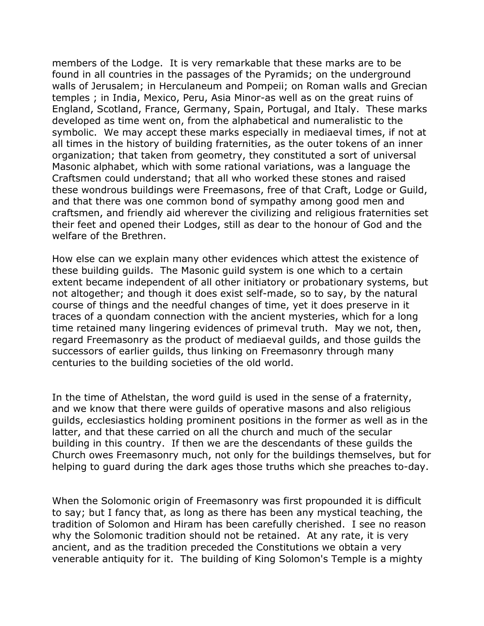members of the Lodge. It is very remarkable that these marks are to be found in all countries in the passages of the Pyramids; on the underground walls of Jerusalem; in Herculaneum and Pompeii; on Roman walls and Grecian temples ; in India, Mexico, Peru, Asia Minor-as well as on the great ruins of England, Scotland, France, Germany, Spain, Portugal, and Italy. These marks developed as time went on, from the alphabetical and numeralistic to the symbolic. We may accept these marks especially in mediaeval times, if not at all times in the history of building fraternities, as the outer tokens of an inner organization; that taken from geometry, they constituted a sort of universal Masonic alphabet, which with some rational variations, was a language the Craftsmen could understand; that all who worked these stones and raised these wondrous buildings were Freemasons, free of that Craft, Lodge or Guild, and that there was one common bond of sympathy among good men and craftsmen, and friendly aid wherever the civilizing and religious fraternities set their feet and opened their Lodges, still as dear to the honour of God and the welfare of the Brethren.

How else can we explain many other evidences which attest the existence of these building guilds. The Masonic guild system is one which to a certain extent became independent of all other initiatory or probationary systems, but not altogether; and though it does exist self-made, so to say, by the natural course of things and the needful changes of time, yet it does preserve in it traces of a quondam connection with the ancient mysteries, which for a long time retained many lingering evidences of primeval truth. May we not, then, regard Freemasonry as the product of mediaeval guilds, and those guilds the successors of earlier guilds, thus linking on Freemasonry through many centuries to the building societies of the old world.

In the time of Athelstan, the word guild is used in the sense of a fraternity, and we know that there were guilds of operative masons and also religious guilds, ecclesiastics holding prominent positions in the former as well as in the latter, and that these carried on all the church and much of the secular building in this country. If then we are the descendants of these guilds the Church owes Freemasonry much, not only for the buildings themselves, but for helping to guard during the dark ages those truths which she preaches to-day.

When the Solomonic origin of Freemasonry was first propounded it is difficult to say; but I fancy that, as long as there has been any mystical teaching, the tradition of Solomon and Hiram has been carefully cherished. I see no reason why the Solomonic tradition should not be retained. At any rate, it is very ancient, and as the tradition preceded the Constitutions we obtain a very venerable antiquity for it. The building of King Solomon's Temple is a mighty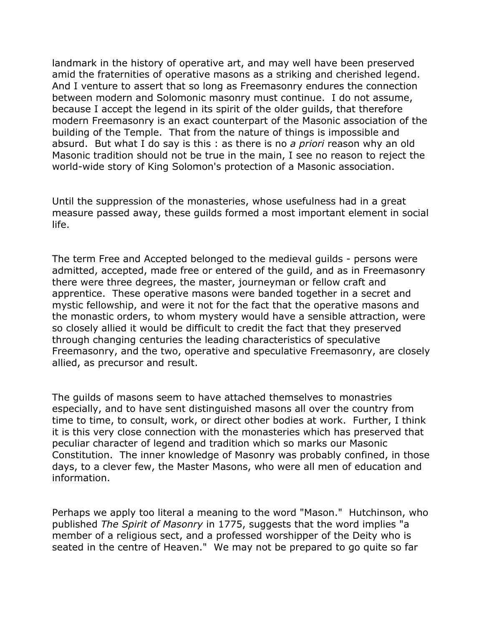landmark in the history of operative art, and may well have been preserved amid the fraternities of operative masons as a striking and cherished legend. And I venture to assert that so long as Freemasonry endures the connection between modern and Solomonic masonry must continue. I do not assume, because I accept the legend in its spirit of the older guilds, that therefore modern Freemasonry is an exact counterpart of the Masonic association of the building of the Temple. That from the nature of things is impossible and absurd. But what I do say is this : as there is no *a priori* reason why an old Masonic tradition should not be true in the main, I see no reason to reject the world-wide story of King Solomon's protection of a Masonic association.

Until the suppression of the monasteries, whose usefulness had in a great measure passed away, these guilds formed a most important element in social life.

The term Free and Accepted belonged to the medieval guilds - persons were admitted, accepted, made free or entered of the guild, and as in Freemasonry there were three degrees, the master, journeyman or fellow craft and apprentice. These operative masons were banded together in a secret and mystic fellowship, and were it not for the fact that the operative masons and the monastic orders, to whom mystery would have a sensible attraction, were so closely allied it would be difficult to credit the fact that they preserved through changing centuries the leading characteristics of speculative Freemasonry, and the two, operative and speculative Freemasonry, are closely allied, as precursor and result.

The guilds of masons seem to have attached themselves to monastries especially, and to have sent distinguished masons all over the country from time to time, to consult, work, or direct other bodies at work. Further, I think it is this very close connection with the monasteries which has preserved that peculiar character of legend and tradition which so marks our Masonic Constitution. The inner knowledge of Masonry was probably confined, in those days, to a clever few, the Master Masons, who were all men of education and information.

Perhaps we apply too literal a meaning to the word "Mason." Hutchinson, who published *The Spirit of Masonry* in 1775, suggests that the word implies "a member of a religious sect, and a professed worshipper of the Deity who is seated in the centre of Heaven." We may not be prepared to go quite so far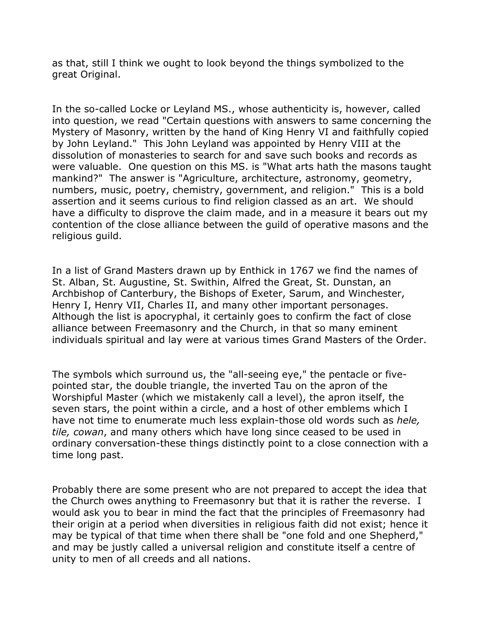as that, still I think we ought to look beyond the things symbolized to the great Original.

In the so-called Locke or Leyland MS., whose authenticity is, however, called into question, we read "Certain questions with answers to same concerning the Mystery of Masonry, written by the hand of King Henry VI and faithfully copied by John Leyland." This John Leyland was appointed by Henry VIII at the dissolution of monasteries to search for and save such books and records as were valuable. One question on this MS. is "What arts hath the masons taught mankind?" The answer is "Agriculture, architecture, astronomy, geometry, numbers, music, poetry, chemistry, government, and religion." This is a bold assertion and it seems curious to find religion classed as an art. We should have a difficulty to disprove the claim made, and in a measure it bears out my contention of the close alliance between the guild of operative masons and the religious guild.

In a list of Grand Masters drawn up by Enthick in 1767 we find the names of St. Alban, St. Augustine, St. Swithin, Alfred the Great, St. Dunstan, an Archbishop of Canterbury, the Bishops of Exeter, Sarum, and Winchester, Henry I, Henry VII, Charles II, and many other important personages. Although the list is apocryphal, it certainly goes to confirm the fact of close alliance between Freemasonry and the Church, in that so many eminent individuals spiritual and lay were at various times Grand Masters of the Order.

The symbols which surround us, the "all-seeing eye," the pentacle or fivepointed star, the double triangle, the inverted Tau on the apron of the Worshipful Master (which we mistakenly call a level), the apron itself, the seven stars, the point within a circle, and a host of other emblems which I have not time to enumerate much less explain-those old words such as *hele, tile, cowan*, and many others which have long since ceased to be used in ordinary conversation-these things distinctly point to a close connection with a time long past.

Probably there are some present who are not prepared to accept the idea that the Church owes anything to Freemasonry but that it is rather the reverse. I would ask you to bear in mind the fact that the principles of Freemasonry had their origin at a period when diversities in religious faith did not exist; hence it may be typical of that time when there shall be "one fold and one Shepherd," and may be justly called a universal religion and constitute itself a centre of unity to men of all creeds and all nations.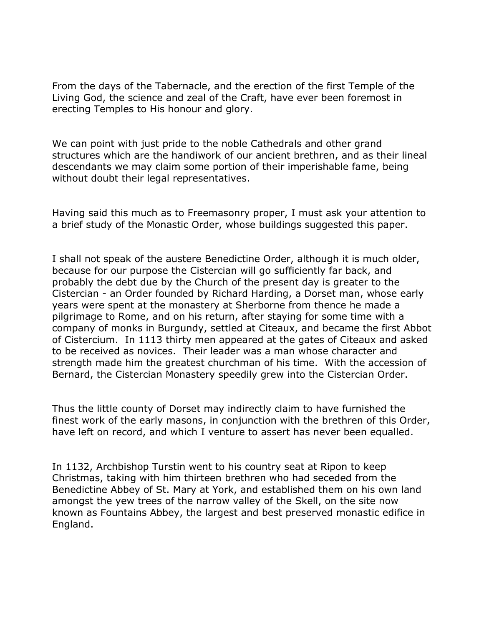From the days of the Tabernacle, and the erection of the first Temple of the Living God, the science and zeal of the Craft, have ever been foremost in erecting Temples to His honour and glory.

We can point with just pride to the noble Cathedrals and other grand structures which are the handiwork of our ancient brethren, and as their lineal descendants we may claim some portion of their imperishable fame, being without doubt their legal representatives.

Having said this much as to Freemasonry proper, I must ask your attention to a brief study of the Monastic Order, whose buildings suggested this paper.

I shall not speak of the austere Benedictine Order, although it is much older, because for our purpose the Cistercian will go sufficiently far back, and probably the debt due by the Church of the present day is greater to the Cistercian - an Order founded by Richard Harding, a Dorset man, whose early years were spent at the monastery at Sherborne from thence he made a pilgrimage to Rome, and on his return, after staying for some time with a company of monks in Burgundy, settled at Citeaux, and became the first Abbot of Cistercium. In 1113 thirty men appeared at the gates of Citeaux and asked to be received as novices. Their leader was a man whose character and strength made him the greatest churchman of his time. With the accession of Bernard, the Cistercian Monastery speedily grew into the Cistercian Order.

Thus the little county of Dorset may indirectly claim to have furnished the finest work of the early masons, in conjunction with the brethren of this Order, have left on record, and which I venture to assert has never been equalled.

In 1132, Archbishop Turstin went to his country seat at Ripon to keep Christmas, taking with him thirteen brethren who had seceded from the Benedictine Abbey of St. Mary at York, and established them on his own land amongst the yew trees of the narrow valley of the Skell, on the site now known as Fountains Abbey, the largest and best preserved monastic edifice in England.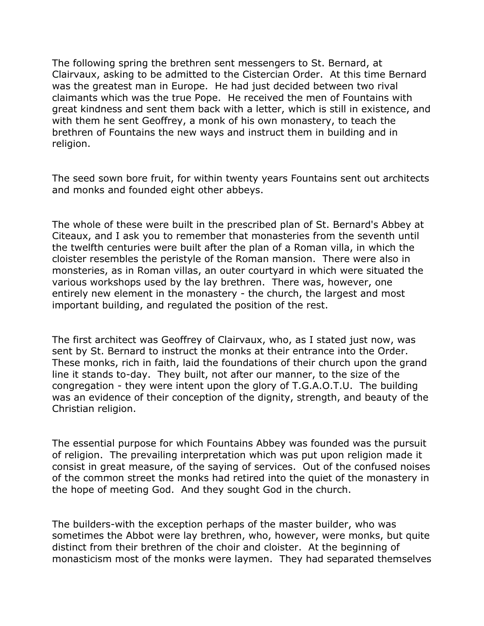The following spring the brethren sent messengers to St. Bernard, at Clairvaux, asking to be admitted to the Cistercian Order. At this time Bernard was the greatest man in Europe. He had just decided between two rival claimants which was the true Pope. He received the men of Fountains with great kindness and sent them back with a letter, which is still in existence, and with them he sent Geoffrey, a monk of his own monastery, to teach the brethren of Fountains the new ways and instruct them in building and in religion.

The seed sown bore fruit, for within twenty years Fountains sent out architects and monks and founded eight other abbeys.

The whole of these were built in the prescribed plan of St. Bernard's Abbey at Citeaux, and I ask you to remember that monasteries from the seventh until the twelfth centuries were built after the plan of a Roman villa, in which the cloister resembles the peristyle of the Roman mansion. There were also in monsteries, as in Roman villas, an outer courtyard in which were situated the various workshops used by the lay brethren. There was, however, one entirely new element in the monastery - the church, the largest and most important building, and regulated the position of the rest.

The first architect was Geoffrey of Clairvaux, who, as I stated just now, was sent by St. Bernard to instruct the monks at their entrance into the Order. These monks, rich in faith, laid the foundations of their church upon the grand line it stands to-day. They built, not after our manner, to the size of the congregation - they were intent upon the glory of T.G.A.O.T.U. The building was an evidence of their conception of the dignity, strength, and beauty of the Christian religion.

The essential purpose for which Fountains Abbey was founded was the pursuit of religion. The prevailing interpretation which was put upon religion made it consist in great measure, of the saying of services. Out of the confused noises of the common street the monks had retired into the quiet of the monastery in the hope of meeting God. And they sought God in the church.

The builders-with the exception perhaps of the master builder, who was sometimes the Abbot were lay brethren, who, however, were monks, but quite distinct from their brethren of the choir and cloister. At the beginning of monasticism most of the monks were laymen. They had separated themselves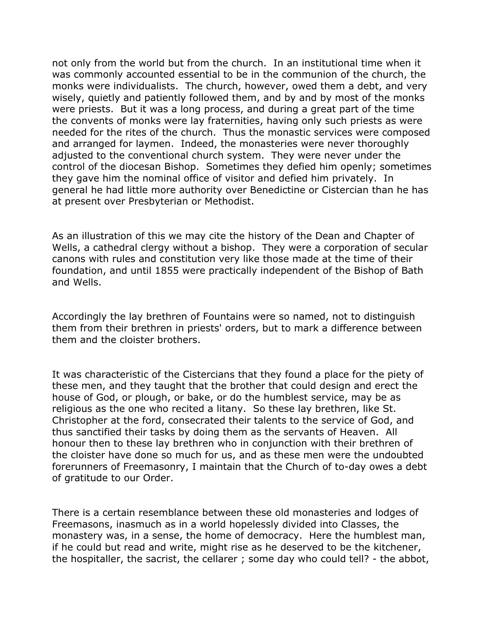not only from the world but from the church. In an institutional time when it was commonly accounted essential to be in the communion of the church, the monks were individualists. The church, however, owed them a debt, and very wisely, quietly and patiently followed them, and by and by most of the monks were priests. But it was a long process, and during a great part of the time the convents of monks were lay fraternities, having only such priests as were needed for the rites of the church. Thus the monastic services were composed and arranged for laymen. Indeed, the monasteries were never thoroughly adjusted to the conventional church system. They were never under the control of the diocesan Bishop. Sometimes they defied him openly; sometimes they gave him the nominal office of visitor and defied him privately. In general he had little more authority over Benedictine or Cistercian than he has at present over Presbyterian or Methodist.

As an illustration of this we may cite the history of the Dean and Chapter of Wells, a cathedral clergy without a bishop. They were a corporation of secular canons with rules and constitution very like those made at the time of their foundation, and until 1855 were practically independent of the Bishop of Bath and Wells.

Accordingly the lay brethren of Fountains were so named, not to distinguish them from their brethren in priests' orders, but to mark a difference between them and the cloister brothers.

It was characteristic of the Cistercians that they found a place for the piety of these men, and they taught that the brother that could design and erect the house of God, or plough, or bake, or do the humblest service, may be as religious as the one who recited a litany. So these lay brethren, like St. Christopher at the ford, consecrated their talents to the service of God, and thus sanctified their tasks by doing them as the servants of Heaven. All honour then to these lay brethren who in conjunction with their brethren of the cloister have done so much for us, and as these men were the undoubted forerunners of Freemasonry, I maintain that the Church of to-day owes a debt of gratitude to our Order.

There is a certain resemblance between these old monasteries and lodges of Freemasons, inasmuch as in a world hopelessly divided into Classes, the monastery was, in a sense, the home of democracy. Here the humblest man, if he could but read and write, might rise as he deserved to be the kitchener, the hospitaller, the sacrist, the cellarer ; some day who could tell? - the abbot,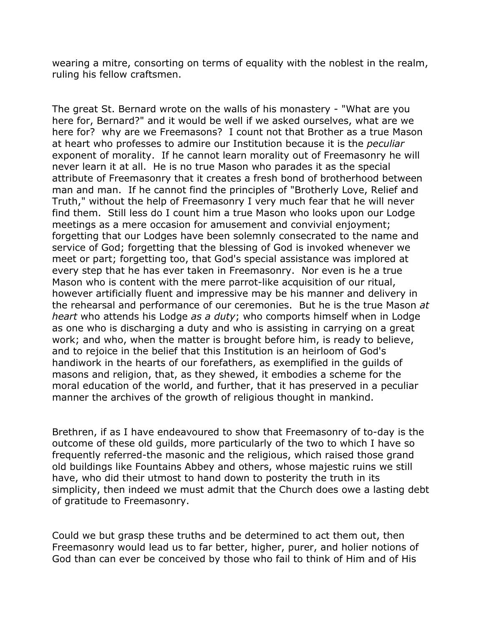wearing a mitre, consorting on terms of equality with the noblest in the realm, ruling his fellow craftsmen.

The great St. Bernard wrote on the walls of his monastery - "What are you here for, Bernard?" and it would be well if we asked ourselves, what are we here for? why are we Freemasons? I count not that Brother as a true Mason at heart who professes to admire our Institution because it is the *peculiar* exponent of morality. If he cannot learn morality out of Freemasonry he will never learn it at all. He is no true Mason who parades it as the special attribute of Freemasonry that it creates a fresh bond of brotherhood between man and man. If he cannot find the principles of "Brotherly Love, Relief and Truth," without the help of Freemasonry I very much fear that he will never find them. Still less do I count him a true Mason who looks upon our Lodge meetings as a mere occasion for amusement and convivial enjoyment; forgetting that our Lodges have been solemnly consecrated to the name and service of God; forgetting that the blessing of God is invoked whenever we meet or part; forgetting too, that God's special assistance was implored at every step that he has ever taken in Freemasonry. Nor even is he a true Mason who is content with the mere parrot-like acquisition of our ritual, however artificially fluent and impressive may be his manner and delivery in the rehearsal and performance of our ceremonies. But he is the true Mason *at heart* who attends his Lodge *as a duty*; who comports himself when in Lodge as one who is discharging a duty and who is assisting in carrying on a great work; and who, when the matter is brought before him, is ready to believe, and to rejoice in the belief that this Institution is an heirloom of God's handiwork in the hearts of our forefathers, as exemplified in the guilds of masons and religion, that, as they shewed, it embodies a scheme for the moral education of the world, and further, that it has preserved in a peculiar manner the archives of the growth of religious thought in mankind.

Brethren, if as I have endeavoured to show that Freemasonry of to-day is the outcome of these old guilds, more particularly of the two to which I have so frequently referred-the masonic and the religious, which raised those grand old buildings like Fountains Abbey and others, whose majestic ruins we still have, who did their utmost to hand down to posterity the truth in its simplicity, then indeed we must admit that the Church does owe a lasting debt of gratitude to Freemasonry.

Could we but grasp these truths and be determined to act them out, then Freemasonry would lead us to far better, higher, purer, and holier notions of God than can ever be conceived by those who fail to think of Him and of His